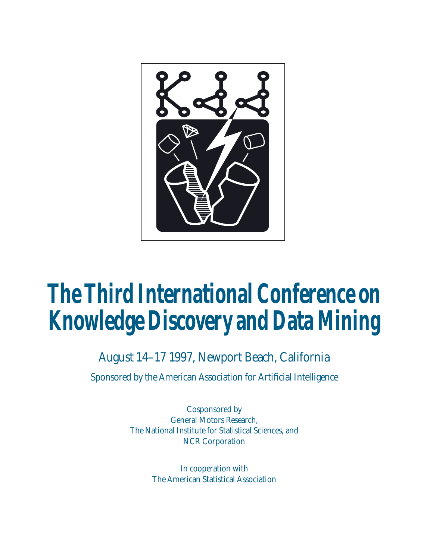

## **The Third International Conference on Knowledge Discovery and Data Mining**

## August 14–17 1997, Newport Beach, California

Sponsored by the American Association for Artificial Intelligence

Cosponsored by General Motors Research, The National Institute for Statistical Sciences, and NCR Corporation

> In cooperation with The American Statistical Association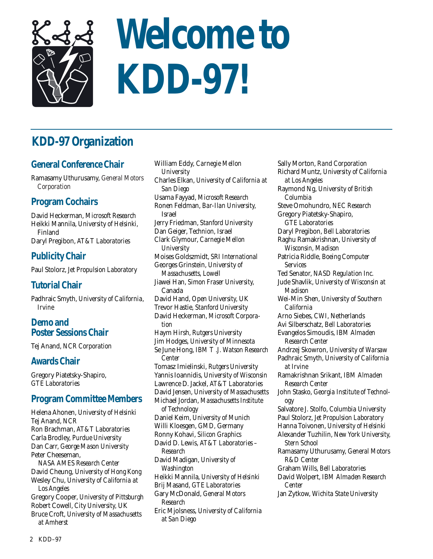

# **Welcome to KDD-97!**

## **KDD-97 Organization**

## **General Conference Chair**

Ramasamy Uthurusamy, *General Motors Corporation*

## **Program Cochairs**

David Heckerman, *Microsoft Research* Heikki Mannila, *University of Helsinki,* Finland Daryl Pregibon, *AT&T Laboratories*

## **Publicity Chair**

Paul Stolorz, *Jet Propulsion Laboratory*

## **Tutorial Chair**

Padhraic Smyth, *University of California, Irvine*

## **Demo and Poster Sessions Chair**

Tej Anand, *NCR Corporation*

## **Awards Chair**

Gregory Piatetsky-Shapiro, *GTE Laboratories*

## **Program Committee Members**

Helena Ahonen, *University of Helsinki* Tej Anand, *NCR* Ron Brachman, *AT&T Laboratories* Carla Brodley, *Purdue University* Dan Carr, *George Mason University* Peter Cheeseman, *NASA AMES Research Center* David Cheung, *University of Hong Kong* Wesley Chu, *University of California at Los Angeles* Gregory Cooper, *University of Pittsburgh* Robert Cowell, *City University,* UK Bruce Croft, *University of Massachusetts at Amherst*

William Eddy, *Carnegie Mellon University* Charles Elkan, *University of California at San Diego* Usama Fayyad, *Microsoft Research* Ronen Feldman, *Bar-Ilan University,*  Israel Jerry Friedman, *Stanford University* Dan Geiger, *Technion,* Israel Clark Glymour, *Carnegie Mellon University* Moises Goldszmidt, *SRI International* Georges Grinstein, *University of Massachusetts, Lowell* Jiawei Han, *Simon Fraser University,* Canada David Hand, *Open University,* UK Trevor Hastie, *Stanford University* David Heckerman, *Microsoft Corporation* Haym Hirsh, *Rutgers University* Jim Hodges, *University of Minnesota* Se June Hong, *IBM T .J. Watson Research Center* Tomasz Imielinski, *Rutgers University* Yannis Ioannidis, *University of Wisconsin* Lawrence D. Jackel, *AT&T Laboratories* David Jensen, *University of Massachusetts* Michael Jordan, *Massachusetts Institute of Technology* Daniel Keim, *University of Munich* Willi Kloesgen, *GMD,* Germany Ronny Kohavi, *Silicon Graphics* David D. Lewis, *AT&T Laboratories – Research* David Madigan, *University of Washington* Heikki Mannila, *University of Helsinki* Brij Masand, *GTE Laboratories* Gary McDonald, *General Motors Research* Eric Mjolsness, *University of California at San Diego*

Sally Morton, *Rand Corporation* Richard Muntz, *University of California at Los Angeles* Raymond Ng, *University of British Columbia* Steve Omohundro, *NEC Research* Gregory Piatetsky-Shapiro, *GTE Laboratories* Daryl Pregibon, *Bell Laboratories* Raghu Ramakrishnan, *University of Wisconsin, Madison* Patricia Riddle, *Boeing Computer Services* Ted Senator, *NASD Regulation Inc.* Jude Shavlik, *University of Wisconsin at Madison* Wei-Min Shen, *University of Southern California* Arno Siebes, *CWI,* Netherlands Avi Silberschatz, *Bell Laboratories* Evangelos Simoudis, *IBM Almaden Research Center* Andrzej Skowron, *University of Warsaw* Padhraic Smyth, *University of California at Irvine* Ramakrishnan Srikant, *IBM Almaden Research Center* John Stasko, *Georgia Institute of Technology* Salvatore J. Stolfo, *Columbia University* Paul Stolorz, *Jet Propulsion Laboratory* Hanna Toivonen, *University of Helsinki* Alexander Tuzhilin, *New York University, Stern School* Ramasamy Uthurusamy, *General Motors R&D Center* Graham Wills, *Bell Laboratories* David Wolpert, *IBM Almaden Research Center* Jan Zytkow, *Wichita State University*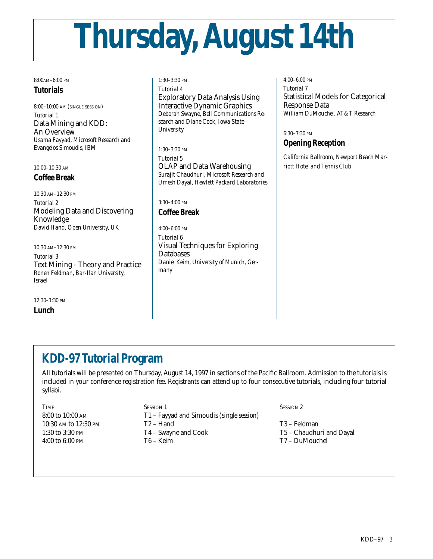# **Thursday, August 14th**

8:00AM–6:00 PM

#### **Tutorials**

8:00–10:00 AM (SINGLE SESSION) *Tutorial 1* Data Mining and KDD: An Overview *Usama Fayyad, Microsoft Research and Evangelos Simoudis, IBM*

10:00–10:30 AM

## **Coffee Break**

10:30 AM–12:30 PM *Tutorial 2* Modeling Data and Discovering Knowledge *David Hand, Open University, UK*

10:30 AM–12:30 PM *Tutorial 3* Text Mining - Theory and Practice *Ronen Feldman, Bar-Ilan University, Israel*

12:30–1:30 PM **Lunch**

1:30–3:30 PM *Tutorial 4* Exploratory Data Analysis Using Interactive Dynamic Graphics *Deborah Swayne, Bell Communications Research and Diane Cook, Iowa State University*

1:30–3:30 PM *Tutorial 5* OLAP and Data Warehousing *Surajit Chaudhuri, Microsoft Research and Umesh Dayal, Hewlett Packard Laboratories*

3:30–4:00 PM **Coffee Break**

#### 4:00–6:00 PM *Tutorial 6* Visual Techniques for Exploring **Databases** *Daniel Keim, University of Munich, Germany*

4:00–6:00 PM *Tutorial 7* Statistical Models for Categorical Response Data *William DuMouchel, AT&T Research*

6:30–7:30 PM

## **Opening Reception**

*California Ballroom, Newport Beach Marriott Hotel and Tennis Club*

## **KDD-97 Tutorial Program**

All tutorials will be presented on Thursday, August 14, 1997 in sections of the Pacific Ballroom. Admission to the tutorials is included in your conference registration fee. Registrants can attend up to four consecutive tutorials, including four tutorial syllabi.

TIME SESSION 1 SESSION 1 8:00 to 10:00 AM T1 – Fayyad and Simoudis *(single session)* 10:30 AM to 12:30 PM T2 – Hand T3 – Feldman 1:30 to 3:30 PM T4 – Swayne and Cook T5 – Chaudhuri and Dayal 4:00 to 6:00 PM T6 – Keim T7 – DuMouchel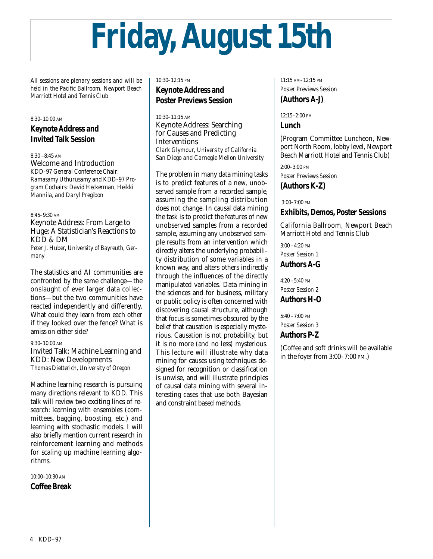# **Friday, August 15th**

*All sessions are plenary sessions and will be held in the Pacific Ballroom, Newport Beach Marriott Hotel and Tennis Club*

#### 8:30–10:00 AM

## **Keynote Address and Invited Talk Session**

8:30 –8:45 AM

Welcome and Introduction *KDD-97 General Conference Chair: Ramasamy Uthurusamy and KDD-97 Program Cochairs: David Heckerman, Heikki Mannila, and Daryl Pregibon* 

8:45–9:30 AM

Keynote Address: From Large to Huge: A Statistician's Reactions to KDD & DM *Peter J. Huber, University of Bayreuth, Germany*

The statistics and AI communities are confronted by the same challenge—the onslaught of ever larger data collections—but the two communities have reacted independently and differently. What could they learn from each other if they looked over the fence? What is amiss on either side?

9:30–10:00 AM Invited Talk: Machine Learning and KDD: New Developments *Thomas Dietterich, University of Oregon*

Machine learning research is pursuing many directions relevant to KDD. This talk will review two exciting lines of research: learning with ensembles (committees, bagging, boosting, etc.) and learning with stochastic models. I will also briefly mention current research in reinforcement learning and methods for scaling up machine learning algorithms.

10:00–10:30 AM

**Coffee Break**

#### 10:30–12:15 PM **Keynote Address and Poster Previews Session**

10:30–11:15 AM Keynote Address: Searching for Causes and Predicting Interventions *Clark Glymour, University of California San Diego and Carnegie Mellon University*

The problem in many data mining tasks is to predict features of a new, unobserved sample from a recorded sample, assuming the sampling distribution does not change. In causal data mining the task is to predict the features of new unobserved samples from a recorded sample, assuming any unobserved sample results from an intervention which directly alters the underlying probability distribution of some variables in a known way, and alters others indirectly through the influences of the directly manipulated variables. Data mining in the sciences and for business, military or public policy is often concerned with discovering causal structure, although that focus is sometimes obscured by the belief that causation is especially mysterious. Causation is not probability, but it is no more (and no less) mysterious. This lecture will illustrate why data mining for causes using techniques designed for recognition or classification is unwise, and will illustrate principles of causal data mining with several interesting cases that use both Bayesian and constraint based methods.

11:15 AM–12:15 PM *Poster Previews Session* **(Authors A-J)** 

12:15–2:00 PM **Lunch**

(Program Committee Luncheon, Newport North Room, lobby level, Newport Beach Marriott Hotel and Tennis Club)

2:00–3:00 PM *Poster Previews Session*

**(Authors K-Z)**

3:00–7:00 PM

#### **Exhibits, Demos, Poster Sessions**

California Ballroom, Newport Beach Marriott Hotel and Tennis Club

3:00 –4:20 PM *Poster Session 1* **Authors A-G**

 $4:20 - 5:40$  PM *Poster Session 2* **Authors H-O**

5:40 –7:00 PM *Poster Session 3* **Authors P-Z** 

(Coffee and soft drinks will be available in the foyer from 3:00–7:00 PM.)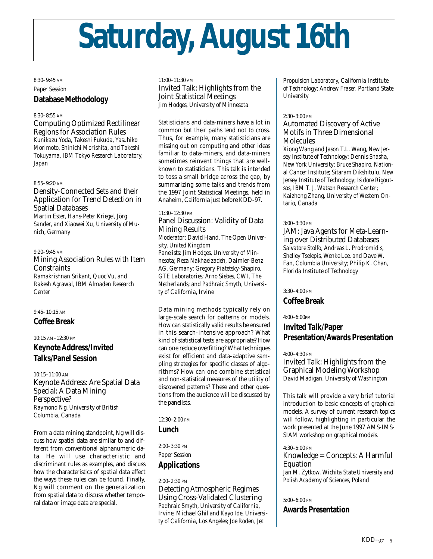# **Saturday, August 16th**

#### 8:30–9:45 AM *Paper Session* **Database Methodology**

#### 8:30–8:55 AM

Computing Optimized Rectilinear Regions for Association Rules *Kunikazu Yoda, Takeshi Fukuda, Yasuhiko Morimoto, Shinichi Morishita, and Takeshi Tokuyama, IBM Tokyo Research Laboratory, Japan*

#### 8:55–9:20 AM

Density-Connected Sets and their Application for Trend Detection in Spatial Databases *Martin Ester, Hans-Peter Kriegel, Jörg Sander, and Xiaowei Xu, University of Munich, Germany*

9:20–9:45 AM

Mining Association Rules with Item **Constraints** *Ramakrishnan Srikant, Quoc Vu, and Rakesh Agrawal, IBM Almaden Research Center*

#### 9:45–10:15 AM

**Coffee Break**

#### 10:15 AM–12:30 PM

### **Keynote Address/Invited Talks/Panel Session**

10:15–11:00 AM Keynote Address: Are Spatial Data Special: A Data Mining Perspective? *Raymond Ng, University of British Columbia, Canada*

From a data mining standpoint, Ng will discuss how spatial data are similar to and different from conventional alphanumeric data. He will use characteristic and discriminant rules as examples, and discuss how the characteristics of spatial data affect the ways these rules can be found. Finally, Ng will comment on the generalization from spatial data to discuss whether temporal data or image data are special.

11:00–11:30 AM Invited Talk: Highlights from the Joint Statistical Meetings *Jim Hodges, University of Minnesota*

Statisticians and data-miners have a lot in common but their paths tend not to cross. Thus, for example, many statisticians are missing out on computing and other ideas familiar to data-miners, and data-miners sometimes reinvent things that are wellknown to statisticians. This talk is intended to toss a small bridge across the gap, by summarizing some talks and trends from the 1997 Joint Statistical Meetings, held in Anaheim, California just before KDD-97.

#### 11:30–12:30 PM

#### Panel Discussion: Validity of Data Mining Results

*Moderator: David Hand, The Open University, United Kingdom Panelists: Jim Hodges, University of Minnesota; Reza Nakhaeizadeh, Daimler-Benz AG, Germany; Gregory Piatetsky-Shapiro, GTE Laboratories; Arno Siebes, CWI, The Netherlands; and Padhraic Smyth, University of California, Irvine*

Data mining methods typically rely on large-scale search for patterns or models. How can statistically valid results be ensured in this search-intensive approach? What kind of statistical tests are appropriate? How can one reduce overfitting? What techniques exist for efficient and data-adaptive sampling strategies for specific classes of algorithms? How can one combine statistical and non-statistical measures of the utility of discovered patterns? These and other questions from the audience will be discussed by the panelists.

12:30–2:00 PM

#### **Lunch**

2:00–3:30 PM

*Paper Session*

#### **Applications**

2:00–2:30 PM

Detecting Atmospheric Regimes Using Cross-Validated Clustering *Padhraic Smyth, University of California, Irvine; Michael Ghil and Kayo Ide, University of California, Los Angeles; Joe Roden, Jet*

*Propulsion Laboratory, California Institute of Technology; Andrew Fraser, Portland State University*

#### 2:30–3:00 PM

#### Automated Discovery of Active Motifs in Three Dimensional **Molecules**

*Xiong Wang and Jason T.L. Wang, New Jersey Institute of Technology; Dennis Shasha, New York University; Bruce Shapiro, National Cancer Institute; Sitaram Dikshitulu, New Jersey Institute of Technology; Isidore Rigoutsos, IBM T. J. Watson Research Center; Kaizhong Zhang, University of Western Ontario, Canada*

#### 3:00–3:30 PM

JAM: Java Agents for Meta-Learning over Distributed Databases *Salvatore Stolfo, Andreas L. Prodromidis, Shelley Tselepis, Wenke Lee, and Dave W. Fan, Columbia University; Philip K. Chan, Florida Institute of Technology*

#### 3:30–4:00 PM

#### **Coffee Break**

4:00–6:00PM

## **Invited Talk/Paper Presentation/Awards Presentation**

4:00–4:30 PM

Invited Talk: Highlights from the Graphical Modeling Workshop *David Madigan, University of Washington*

This talk will provide a very brief tutorial introduction to basic concepts of graphical models. A survey of current research topics will follow, highlighting in particular the work presented at the June 1997 AMS-IMS-SIAM workshop on graphical models.

4:30–5:00 PM Knowledge = Concepts: A Harmful Equation

*Jan M. Zytkow, Wichita State University and Polish Academy of Sciences, Poland*

5:00–6:00 PM

#### **Awards Presentation**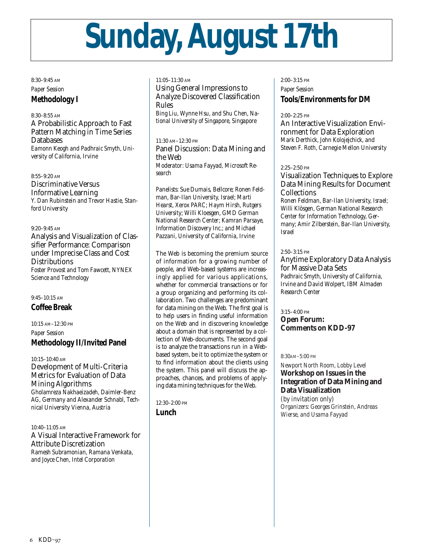# **Sunday, August 17th**

8:30–9:45 AM *Paper Session* **Methodology I**

8:30–8:55 AM

A Probabilistic Approach to Fast Pattern Matching in Time Series Databases *Eamonn Keogh and Padhraic Smyth, University of California, Irvine*

8:55–9:20 AM Discriminative Versus Informative Learning *Y. Dan Rubinstein and Trevor Hastie, Stanford University*

9:20–9:45 AM Analysis and Visualization of Classifier Performance: Comparison under Imprecise Class and Cost **Distributions** *Foster Provost and Tom Fawcett, NYNEX Science and Technology*

9:45–10:15 AM

**Coffee Break**

10:15 AM–12:30 PM *Paper Session* **Methodology II/Invited Panel**

10:15–10:40 AM Development of Multi-Criteria Metrics for Evaluation of Data Mining Algorithms *Gholamreza Nakhaeizadeh, Daimler-Benz AG, Germany and Alexander Schnabl, Technical University Vienna, Austria*

10:40–11:05 AM A Visual Interactive Framework for Attribute Discretization *Ramesh Subramonian, Ramana Venkata, and Joyce Chen, Intel Corporation*

11:05–11:30 AM Using General Impressions to Analyze Discovered Classification Rules *Bing Liu, Wynne Hsu, and Shu Chen, National University of Singapore, Singapore*

11:30 AM–12:30 PM Panel Discussion: Data Mining and the Web *Moderator: Usama Fayyad, Microsoft Research*

*Panelists: Sue Dumais, Bellcore; Ronen Feldman, Bar-Ilan University, Israel; Marti Hearst, Xerox PARC; Haym Hirsh, Rutgers University; Willi Kloesgen, GMD German National Research Center; Kamran Parsaye, Information Discovery Inc.; and Michael Pazzani, University of California, Irvine*

The Web is becoming the premium source of information for a growing number of people, and Web-based systems are increasingly applied for various applications, whether for commercial transactions or for a group organizing and performing its collaboration. Two challenges are predominant for data mining on the Web. The first goal is to help users in finding useful information on the Web and in discovering knowledge about a domain that is represented by a collection of Web-documents. The second goal is to analyze the transactions run in a Webbased system, be it to optimize the system or to find information about the clients using the system. This panel will discuss the approaches, chances, and problems of applying data mining techniques for the Web.

12:30–2:00 PM

**Lunch**

#### 2:00–3:15 PM *Paper Session* **Tools/Environments for DM**

#### $2:00-2:25$  PM

An Interactive Visualization Environment for Data Exploration *Mark Derthick, John Kolojejchick, and Steven F. Roth, Carnegie Mellon University*

#### 2:25–2:50 PM

Visualization Techniques to Explore Data Mining Results for Document Collections *Ronen Feldman, Bar-Ilan University, Israel; Willi Klösgen, German National Research Center for Information Technology, Germany; Amir Zilberstein, Bar-Ilan University, Israel*

#### 2:50–3:15 PM

Anytime Exploratory Data Analysis for Massive Data Sets *Padhraic Smyth, University of California, Irvine and David Wolpert, IBM Almaden Research Center*

3:15–4:00 PM **Open Forum: Comments on KDD-97**

#### 8:30AM–5:00 PM

*Newport North Room, Lobby Level* **Workshop on Issues in the Integration of Data Mining and Data Visualization** 

*(by invitation only) Organizers: Georges Grinstein, Andreas Wierse, and Usama Fayyad*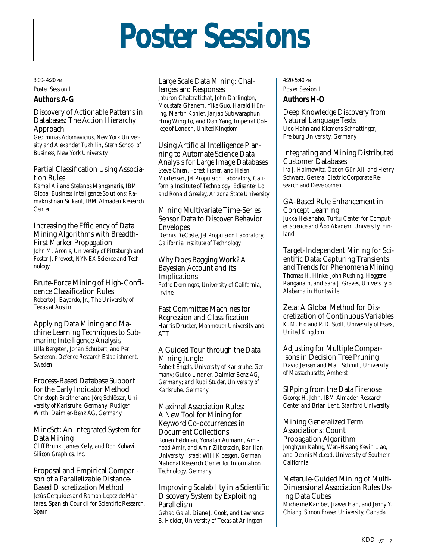## **Poster Sessions**

3:00–4:20 PM *Poster Session I*

### **Authors A-G**

Discovery of Actionable Patterns in Databases: The Action Hierarchy Approach

*Gediminas Adomavicius, New York University and Alexander Tuzhilin, Stern School of Business, New York University*

Partial Classification Using Association Rules

*Kamal Ali and Stefanos Manganaris, IBM Global Business Intelligence Solutions; Ramakrishnan Srikant, IBM Almaden Research Center*

Increasing the Efficiency of Data Mining Algorithms with Breadth-First Marker Propagation *John M. Aronis, University of Pittsburgh and Foster J. Provost, NYNEX Science and Technology*

Brute-Force Mining of High-Confidence Classification Rules *Roberto J. Bayardo, Jr., The University of Texas at Austin*

Applying Data Mining and Machine Learning Techniques to Submarine Intelligence Analysis *Ulla Bergsten, Johan Schubert, and Per Svensson, Defence Research Establishment, Sweden*

Process-Based Database Support for the Early Indicator Method *Christoph Breitner and Jörg Schlösser, University of Karlsruhe, Germany; Rüdiger Wirth, Daimler-Benz AG, Germany*

MineSet: An Integrated System for Data Mining *Cliff Brunk, James Kelly, and Ron Kohavi, Silicon Graphics, Inc.*

Proposal and Empirical Comparison of a Parallelizable Distance-Based Discretization Method *Jesús Cerquides and Ramon López de Màntaras, Spanish Council for Scientific Research, Spain*

Large Scale Data Mining: Challenges and Responses *Jaturon Chattratichat, John Darlington, Moustafa Ghanem, Yike Guo, Harald Hüning, Martin Köhler, Janjao Sutiwaraphun, Hing Wing To, and Dan Yang, Imperial College of London, United Kingdom*

Using Artificial Intelligence Planning to Automate Science Data Analysis for Large Image Databases *Steve Chien, Forest Fisher, and Helen Mortensen, Jet Propulsion Laboratory, California Institute of Technology; Edisanter Lo and Ronald Greeley, Arizona State University*

Mining Multivariate Time-Series Sensor Data to Discover Behavior Envelopes *Dennis DeCoste, Jet Propulsion Laboratory, California Institute of Technology*

Why Does Bagging Work? A Bayesian Account and its Implications *Pedro Domingos, University of California, Irvine*

Fast Committee Machines for Regression and Classification *Harris Drucker, Monmouth University and ATT*

A Guided Tour through the Data Mining Jungle *Robert Engels, University of Karlsruhe, Germany; Guido Lindner, Daimler Benz AG, Germany; and Rudi Studer, University of Karlsruhe, Germany*

Maximal Association Rules: A New Tool for Mining for Keyword Co-occurrences in Document Collections *Ronen Feldman, Yonatan Aumann, Amihood Amir, and Amir Zilberstein, Bar-Ilan University, Israel; Willi Kloesgen, German National Research Center for Information Technology, Germany*

Improving Scalability in a Scientific Discovery System by Exploiting Parallelism *Gehad Galal, Diane J. Cook, and Lawrence B. Holder, University of Texas at Arlington*

4:20-5:40 PM *Poster Session II* **Authors H-O**

Deep Knowledge Discovery from Natural Language Texts *Udo Hahn and Klemens Schnattinger, Freiburg University, Germany*

Integrating and Mining Distributed Customer Databases *Ira J. Haimowitz, Özden Gür-Ali, and Henry Schwarz, General Electric Corporate Research and Development*

GA-Based Rule Enhancement in Concept Learning *Jukka Hekanaho, Turku Center for Computer Science and Åbo Akademi University, Finland*

Target-Independent Mining for Scientific Data: Capturing Transients and Trends for Phenomena Mining *Thomas H. Hinke, John Rushing, Heggere Ranganath, and Sara J. Graves, University of Alabama in Huntsville*

Zeta: A Global Method for Discretization of Continuous Variables *K. M. Ho and P. D. Scott, University of Essex, United Kingdom*

Adjusting for Multiple Comparisons in Decision Tree Pruning *David Jensen and Matt Schmill, University of Massachusetts, Amherst*

SIPping from the Data Firehose *George H. John, IBM Almaden Research Center and Brian Lent, Stanford University*

Mining Generalized Term Associations: Count Propagation Algorithm *Jonghyun Kahng, Wen-Hsiang Kevin Liao, and Dennis McLeod, University of Southern California*

Metarule-Guided Mining of Multi-Dimensional Association Rules Using Data Cubes *Micheline Kamber, Jiawei Han, and Jenny Y. Chiang, Simon Fraser University, Canada*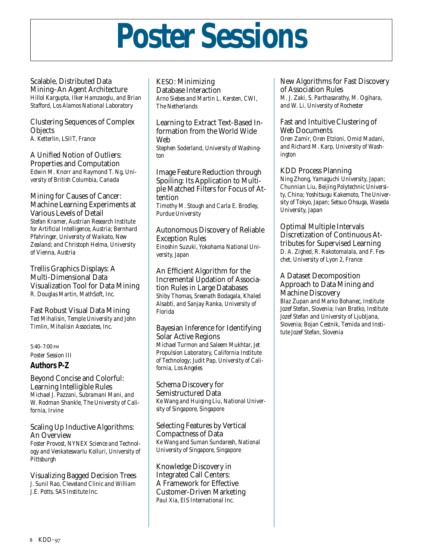## **Poster Sessions**

Scalable, Distributed Data Mining–An Agent Architecture *Hillol Kargupta, Ilker Hamzaoglu, and Brian Stafford, Los Alamos National Laboratory*

Clustering Sequences of Complex **Objects** *A. Ketterlin, LSIIT, France*

A Unified Notion of Outliers: Properties and Computation *Edwin M. Knorr and Raymond T. Ng, University of British Columbia, Canada*

Mining for Causes of Cancer: Machine Learning Experiments at Various Levels of Detail *Stefan Kramer, Austrian Research Institute for Artificial Intelligence, Austria; Bernhard Pfahringer, University of Waikato, New Zealand; and Christoph Helma, University of Vienna, Austria*

Trellis Graphics Displays: A Multi-Dimensional Data Visualization Tool for Data Mining *R. Douglas Martin, MathSoft, Inc.*

Fast Robust Visual Data Mining *Ted Mihalisin, Temple University and John Timlin, Mihalisin Associates, Inc.*

5:40–7:00 PM *Poster Session III*

**Authors P-Z**

Beyond Concise and Colorful: Learning Intelligible Rules *Michael J. Pazzani, Subramani Mani, and W. Rodman Shankle, The University of California, Irvine*

Scaling Up Inductive Algorithms: An Overview *Foster Provost, NYNEX Science and Technology and Venkateswarlu Kolluri, University of Pittsburgh*

Visualizing Bagged Decision Trees *J. Sunil Rao, Cleveland Clinic and William J.E. Potts, SAS Institute Inc.*

KESO: Minimizing Database Interaction *Arno Siebes and Martin L. Kersten, CWI, The Netherlands*

Learning to Extract Text-Based Information from the World Wide Web

*Stephen Soderland, University of Washington*

Image Feature Reduction through Spoiling: Its Application to Multiple Matched Filters for Focus of Attention *Timothy M. Stough and Carla E. Brodley, Purdue University*

Autonomous Discovery of Reliable Exception Rules *Einoshin Suzuki, Yokohama National University, Japan*

An Efficient Algorithm for the Incremental Updation of Association Rules in Large Databases *Shiby Thomas, Sreenath Bodagala, Khaled Alsabti, and Sanjay Ranka, University of Florida*

Bayesian Inference for Identifying Solar Active Regions *Michael Turmon and Saleem Mukhtar, Jet Propulsion Laboratory, California Institute of Technology; Judit Pap, University of California, Los Angeles*

Schema Discovery for Semistructured Data *Ke Wang and Huiqing Liu, National University of Singapore, Singapore*

Selecting Features by Vertical Compactness of Data *Ke Wang and Suman Sundaresh, National University of Singapore, Singapore*

Knowledge Discovery in Integrated Call Centers: A Framework for Effective Customer-Driven Marketing *Paul Xia, EIS International Inc.*

New Algorithms for Fast Discovery of Association Rules *M. J. Zaki, S. Parthasarathy, M. Ogihara, and W. Li, University of Rochester*

Fast and Intuitive Clustering of Web Documents *Oren Zamir, Oren Etzioni, Omid Madani, and Richard M. Karp, University of Washington*

KDD Process Planning *Ning Zhong, Yamaguchi University, Japan; Chunnian Liu, Beijing Polytechnic University, China; Yoshitsugu Kakemoto, The University of Tokyo, Japan; Setsuo Ohsuga, Waseda University, Japan*

Optimal Multiple Intervals Discretization of Continuous Attributes for Supervised Learning *D. A. Zighed, R. Rakotomalala, and F. Feschet, University of Lyon 2, France*

A Dataset Decomposition Approach to Data Mining and Machine Discovery *Blaz Zupan and Marko Bohanec, Institute Jozef Stefan, Slovenia; Ivan Bratko, Institute Jozef Stefan and University of Ljubljana, Slovenia; Bojan Cestnik, Temida and Institute Jozef Stefan, Slovenia*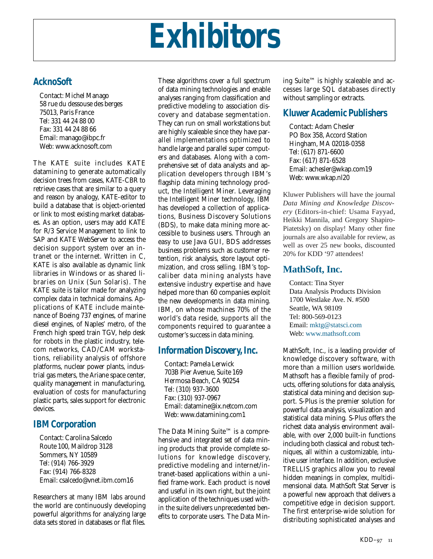## **Exhibitors**

## **AcknoSoft**

Contact: Michel Manago 58 rue du dessouse des berges 75013, Paris France Tel: 331 44 24 88 00 Fax: 331 44 24 88 66 Email: manago@ibpc.fr Web: www.acknosoft.com

The KATE suite includes KATE datamining to generate automatically decision trees from cases, KATE-CBR to retrieve cases that are similar to a query and reason by analogy, KATE-editor to build a database that is object-oriented or link to most existing market databases. As an option, users may add KATE for R/3 Service Management to link to SAP and KATE WebServer to access the decision support system over an intranet or the internet. Written in C, KATE is also available as dynamic link libraries in Windows or as shared libraries on Unix (Sun Solaris). The KATE suite is tailor made for analyzing complex data in technical domains. Applications of KATE include maintenance of Boeing 737 engines, of marine diesel engines, of Naples' metro, of the French high speed train TGV, help desk for robots in the plastic industry, telecom networks, CAD/CAM workstations, reliability analysis of offshore platforms, nuclear power plants, industrial gas meters, the Ariane space center, quality management in manufacturing, evaluation of costs for manufacturing plastic parts, sales support for electronic devices.

## **IBM Corporation**

Contact: Carolina Salcedo Route 100, Maildrop 3128 Sommers, NY 10589 Tel: (914) 766-3929 Fax: (914) 766-8328 Email: csalcedo@vnet.ibm.com16

Researchers at many IBM labs around the world are continuously developing powerful algorithms for analyzing large data sets stored in databases or flat files.

These algorithms cover a full spectrum of data mining technologies and enable analyses ranging from classification and predictive modeling to association discovery and database segmentation. They can run on small workstations but are highly scaleable since they have parallel implementations optimized to handle large and parallel super computers and databases. Along with a comprehensive set of data analysts and application developers through IBM's flagship data mining technology product, the Intelligent Miner. Leveraging the Intelligent Miner technology, IBM has developed a collection of applications, Business Discovery Solutions (BDS), to make data mining more accessible to business users. Through an easy to use Java GUI, BDS addresses business problems such as customer retention, risk analysis, store layout optimization, and cross selling. IBM's topcaliber data mining analysts have extensive industry expertise and have helped more than 60 companies exploit the new developments in data mining. IBM, on whose machines 70% of the world's data reside, supports all the components required to guarantee a customer's success in data mining.

## **Information Discovery, Inc.**

Contact: Pamela Lerwick 703B Pier Avenue, Suite 169 Hermosa Beach, CA 90254 Tel: (310) 937-3600 Fax: (310) 937-0967 Email: datamine@ix.netcom.com Web: www.datamining.com1

The Data Mining Suite™ is a comprehensive and integrated set of data mining products that provide complete solutions for knowledge discovery, predictive modeling and internet/intranet-based applications within a unified frame-work. Each product is novel and useful in its own right, but the joint application of the techniques used within the suite delivers unprecedented benefits to corporate users. The Data Mining Suite™ is highly scaleable and accesses large SQL databases directly without sampling or extracts.

## **Kluwer Academic Publishers**

Contact: Adam Chesler PO Box 358, Accord Station Hingham, MA 02018-0358 Tel: (617) 871-6600 Fax: (617) 871-6528 Email: achesler@wkap.com19 Web: www.wkap.nl20

Kluwer Publishers will have the journal *Data Mining and Knowledge Discovery* (Editors-in-chief: Usama Fayyad, Heikki Mannila, and Gregory Shapiro-Piatetsky) on display! Many other fine journals are also available for review, as well as over 25 new books, discounted 20% for KDD '97 attendees!

## **MathSoft, Inc.**

Contact: Tina Styer Data Analysis Products Division 1700 Westlake Ave. N. #500 Seattle, WA 98109 Tel: 800-569-0123 Email: mktg@statsci.com Web: www.mathsoft.com

MathSoft, Inc., is a leading provider of knowledge discovery software, with more than a million users worldwide. Mathsoft has a flexible family of products, offering solutions for data analysis, statistical data mining and decision support. S-Plus is the premier solution for powerful data analysis, visualization and statistical data mining. S-Plus offers the richest data analysis environment available, with over 2,000 built-in functions including both classical and robust techniques, all within a customizable, intuitive user interface. In addition, exclusive TRELLIS graphics allow you to reveal hidden meanings in complex, multidimensional data. MathSoft Stat Server is a powerful new approach that delivers a competitive edge in decision support. The first enterprise-wide solution for distributing sophisticated analyses and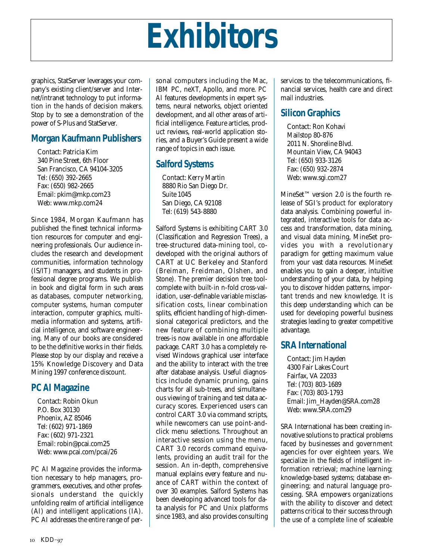## **Exhibitors**

graphics, StatServer leverages your company's existing client/server and Internet/intranet technology to put information in the hands of decision makers. Stop by to see a demonstration of the power of S-Plus and StatServer.

## **Morgan Kaufmann Publishers**

Contact: Patricia Kim 340 Pine Street, 6th Floor San Francisco, CA 94104-3205 Tel: (650) 392-2665 Fax: (650) 982-2665 Email: pkim@mkp.com23 Web: www.mkp.com24

Since 1984, Morgan Kaufmann has published the finest technical information resources for computer and engineering professionals. Our audience includes the research and development communities, information technology (IS/IT) managers, and students in professional degree programs. We publish in book and digital form in such areas as databases, computer networking, computer systems, human computer interaction, computer graphics, multimedia information and systems, artificial intelligence, and software engineering. Many of our books are considered to be the definitive works in their fields. Please stop by our display and receive a 15% Knowledge Discovery and Data Mining 1997 conference discount.

## *PC AI***Magazine**

Contact: Robin Okun P.O. Box 30130 Phoenix, AZ 85046 Tel: (602) 971-1869 Fax: (602) 971-2321 Email: robin@pcai.com25 Web: www.pcai.com/pcai/26

*PC AI Magazine* provides the information necessary to help managers, programmers, executives, and other professionals understand the quickly unfolding realm of artificial intelligence (AI) and intelligent applications (IA). PC AI addresses the entire range of personal computers including the Mac, IBM PC, neXT, Apollo, and more. *PC AI* features developments in expert systems, neural networks, object oriented development, and all other areas of artificial intelligence. Feature articles, product reviews, real-world application stories, and a Buyer's Guide present a wide range of topics in each issue.

## **Salford Systems**

Contact: Kerry Martin 8880 Rio San Diego Dr. Suite 1045 San Diego, CA 92108 Tel: (619) 543-8880

Salford Systems is exhibiting CART 3.0 (Classification and Regression Trees), a tree-structured data-mining tool, codeveloped with the original authors of CART at UC Berkeley and Stanford (Breiman, Freidman, Olshen, and Stone). The premier decision tree toolcomplete with built-in n-fold cross-validation, user-definable variable misclassification costs, linear combination splits, efficient handling of high-dimensional categorical predictors, and the new feature of combining multiple trees-is now available in one affordable package. CART 3.0 has a completely revised Windows graphical user interface and the ability to interact with the tree after database analysis. Useful diagnostics include dynamic pruning, gains charts for all sub-trees, and simultaneous viewing of training and test data accuracy scores. Experienced users can control CART 3.0 via command scripts, while newcomers can use point-andclick menu selections. Throughout an interactive session using the menu, CART 3.0 records command equivalents, providing an audit trail for the session. An in-depth, comprehensive manual explains every feature and nuance of CART within the context of over 30 examples. Salford Systems has been developing advanced tools for data analysis for PC and Unix platforms since 1983, and also provides consulting

services to the telecommunications, financial services, health care and direct mail industries.

## **Silicon Graphics**

Contact: Ron Kohavi Mailstop 80-876 2011 N. Shoreline Blvd. Mountain View, CA 94043 Tel: (650) 933-3126 Fax: (650) 932-2874 Web: www.sgi.com27

MineSet™ version 2.0 is the fourth release of SGI's product for exploratory data analysis. Combining powerful integrated, interactive tools for data access and transformation, data mining, and visual data mining, MineSet provides you with a revolutionary paradigm for getting maximum value from your vast data resources. MineSet enables you to gain a deeper, intuitive understanding of your data, by helping you to discover hidden patterns, important trends and new knowledge. It is this deep understanding which can be used for developing powerful business strategies leading to greater competitive advantage.

## **SRA International**

Contact: Jim Hayden 4300 Fair Lakes Court Fairfax, VA 22033 Tel: (703) 803-1689 Fax: (703) 803-1793 Email: Jim\_Hayden@SRA.com28 Web: www.SRA.com29

SRA International has been creating innovative solutions to practical problems faced by businesses and government agencies for over eighteen years. We specialize in the fields of intelligent information retrieval; machine learning; knowledge-based systems; database engineering; and natural language processing. SRA empowers organizations with the ability to discover and detect patterns critical to their success through the use of a complete line of scaleable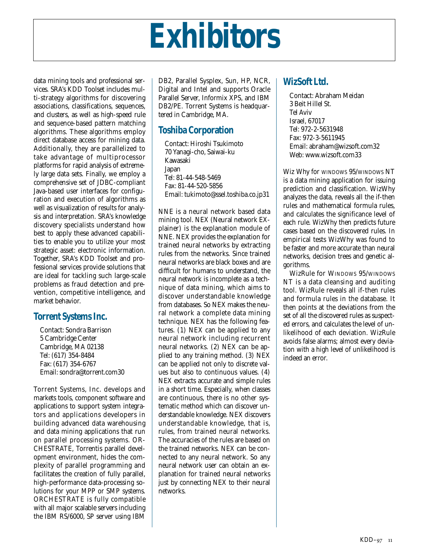## **Exhibitors**

data mining tools and professional services. SRA's KDD Toolset includes multi-strategy algorithms for discovering associations, classifications, sequences, and clusters, as well as high-speed rule and sequence-based pattern matching algorithms. These algorithms employ direct database access for mining data. Additionally, they are parallelized to take advantage of multiprocessor platforms for rapid analysis of extremely large data sets. Finally, we employ a comprehensive set of JDBC-compliant Java-based user interfaces for configuration and execution of algorithms as well as visualization of results for analysis and interpretation. SRA's knowledge discovery specialists understand how best to apply these advanced capabilities to enable you to utilize your most strategic asset: electronic information. Together, SRA's KDD Toolset and professional services provide solutions that are ideal for tackling such large-scale problems as fraud detection and prevention, competitive intelligence, and market behavior.

## **Torrent Systems Inc.**

Contact: Sondra Barrison 5 Cambridge Center Cambridge, MA 02138 Tel: (617) 354-8484 Fax: (617) 354-6767 Email: sondra@torrent.com30

Torrent Systems, Inc. develops and markets tools, component software and applications to support system integrators and applications developers in building advanced data warehousing and data mining applications that run on parallel processing systems. OR-CHESTRATE, Torrentis parallel development environment, hides the complexity of parallel programming and facilitates the creation of fully parallel, high-performance data-processing solutions for your MPP or SMP systems. ORCHESTRATE is fully compatible with all major scalable servers including the IBM RS/6000, SP server using IBM DB2, Parallel Sysplex, Sun, HP, NCR, Digital and Intel and supports Oracle Parallel Server, Informix XPS, and IBM DB2/PE. Torrent Systems is headquartered in Cambridge, MA.

## **Toshiba Corporation**

Contact: Hiroshi Tsukimoto 70 Yanagi-cho, Saiwai-ku Kawasaki **Japan** Tel: 81-44-548-5469 Fax: 81-44-520-5856 Email: tukimoto@ssel.toshiba.co.jp31

NNE is a neural network based data mining tool. NEX (Neural network EXplainer) is the explanation module of NNE. NEX provides the explanation for trained neural networks by extracting rules from the networks. Since trained neural networks are black boxes and are difficult for humans to understand, the neural network is incomplete as a technique of data mining, which aims to discover understandable knowledge from databases. So NEX makes the neural network a complete data mining technique. NEX has the following features. (1) NEX can be applied to any neural network including recurrent neural networks. (2) NEX can be applied to any training method. (3) NEX can be applied not only to discrete values but also to continuous values. (4) NEX extracts accurate and simple rules in a short time. Especially, when classes are continuous, there is no other systematic method which can discover understandable knowledge. NEX discovers understandable knowledge, that is, rules, from trained neural networks. The accuracies of the rules are based on the trained networks. NEX can be connected to any neural network. So any neural network user can obtain an explanation for trained neural networks just by connecting NEX to their neural networks.

## **WizSoft Ltd.**

Contact: Abraham Meidan 3 Beit Hillel St. Tel Aviv Israel, 67017 Tel: 972-2-5631948 Fax: 972-3-5611945 Email: abraham@wizsoft.com32 Web: www.wizsoft.com33

Wiz Why for WINDOWS 95/WINDOWS NT is a data mining application for issuing prediction and classification. WizWhy analyzes the data, reveals all the if-then rules and mathematical formula rules, and calculates the significance level of each rule. WizWhy then predicts future cases based on the discovered rules. In empirical tests WizWhy was found to be faster and more accurate than neural networks, decision trees and genetic algorithms.

WizRule for WINDOWS 95/WINDOWS NT is a data cleansing and auditing tool. WizRule reveals all if-then rules and formula rules in the database. It then points at the deviations from the set of all the discovered rules as suspected errors, and calculates the level of unlikelihood of each deviation. WizRule avoids false alarms; almost every deviation with a high level of unlikelihood is indeed an error.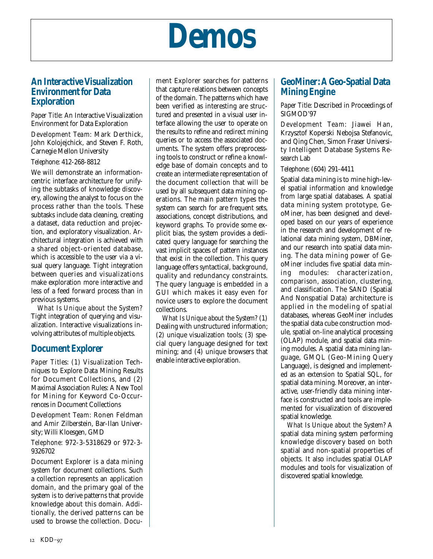

### **An Interactive Visualization Environment for Data Exploration**

*Paper Title:* An Interactive Visualization Environment for Data Exploration

*Development Team:* Mark Derthick, John Kolojejchick, and Steven F. Roth, Carnegie Mellon University

#### *Telephone:* 412-268-8812

We will demonstrate an informationcentric interface architecture for unifying the subtasks of knowledge discovery, allowing the analyst to focus on the process rather than the tools. These subtasks include data cleaning, creating a dataset, data reduction and projection, and exploratory visualization. Architectural integration is achieved with a shared object-oriented database, which is accessible to the user via a visual query language. Tight integration between queries and visualizations make exploration more interactive and less of a feed forward process than in previous systems.

*What Is Unique about the System?* Tight integration of querying and visualization. Interactive visualizations involving attributes of multiple objects.

### **Document Explorer**

*Paper Titles:* (1) Visualization Techniques to Explore Data Mining Results for Document Collections, and (2) Maximal Association Rules: A New Tool for Mining for Keyword Co-Occurrences in Document Collections

*Development Team:* Ronen Feldman and Amir Zilberstein, Bar-Ilan University; Willi Kloesgen, GMD

*Telephone:* 972-3-5318629 or 972-3- 9326702

Document Explorer is a data mining system for document collections. Such a collection represents an application domain, and the primary goal of the system is to derive patterns that provide knowledge about this domain. Additionally, the derived patterns can be used to browse the collection. Document Explorer searches for patterns that capture relations between concepts of the domain. The patterns which have been verified as interesting are structured and presented in a visual user interface allowing the user to operate on the results to refine and redirect mining queries or to access the associated documents. The system offers preprocessing tools to construct or refine a knowledge base of domain concepts and to create an intermediate representation of the document collection that will be used by all subsequent data mining operations. The main pattern types the system can search for are frequent sets, associations, concept distributions, and keyword graphs. To provide some explicit bias, the system provides a dedicated query language for searching the vast implicit spaces of pattern instances that exist in the collection. This query language offers syntactical, background, quality and redundancy constraints. The query language is embedded in a GUI which makes it easy even for novice users to explore the document collections.

*What Is Unique about the System?* (1) Dealing with unstructured information; (2) unique visualization tools; (3) special query language designed for text mining; and (4) unique browsers that enable interactive exploration.

## **GeoMiner: A Geo-Spatial Data Mining Engine**

*Paper Title:* Described in Proceedings of SIGMOD'97

*Development Team:* Jiawei Han, Krzysztof Koperski Nebojsa Stefanovic, and Qing Chen, Simon Fraser University Intelligent Database Systems Research Lab

#### *Telephone:* (604) 291-4411

Spatial data mining is to mine high-level spatial information and knowledge from large spatial databases. A spatial data mining system prototype, GeoMiner, has been designed and developed based on our years of experience in the research and development of relational data mining system, DBMiner, and our research into spatial data mining. The data mining power of GeoMiner includes five spatial data mining modules: characterization, comparison, association, clustering, and classification. The SAND (Spatial And Nonspatial Data) architecture is applied in the modeling of spatial databases, whereas GeoMiner includes the spatial data cube construction module, spatial on-line analytical processing (OLAP) module, and spatial data mining modules. A spatial data mining language, GMQL (Geo-Mining Query Language), is designed and implemented as an extension to Spatial SQL, for spatial data mining. Moreover, an interactive, user-friendly data mining interface is constructed and tools are implemented for visualization of discovered spatial knowledge.

*What Is Unique about the System?* A spatial data mining system performing knowledge discovery based on both spatial and non-spatial properties of objects. It also includes spatial OLAP modules and tools for visualization of discovered spatial knowledge.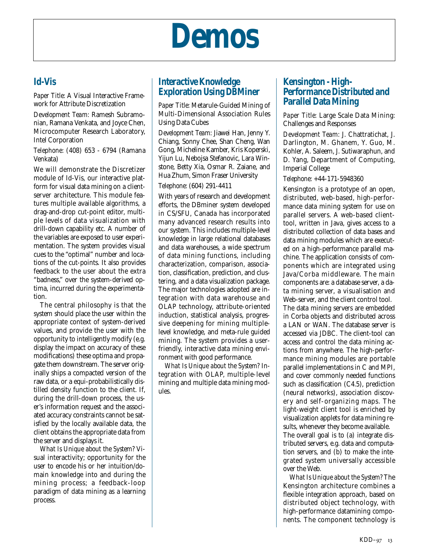## **Demos**

## **Id-Vis**

*Paper Title:* A Visual Interactive Framework for Attribute Discretization

*Development Team:* Ramesh Subramonian, Ramana Venkata, and Joyce Chen, Microcomputer Research Laboratory, Intel Corporation

*Telephone:* (408) 653 - 6794 (Ramana Venkata)

We will demonstrate the Discretizer module of Id-Vis, our interactive platform for visual data mining on a clientserver architecture. This module features multiple available algorithms, a drag-and-drop cut-point editor, multiple levels of data visualization with drill-down capability etc. A number of the variables are exposed to user experimentation. The system provides visual cues to the "optimal" number and locations of the cut-points. It also provides feedback to the user about the extra "badness," over the system-derived optima, incurred during the experimentation.

The central philosophy is that the system should place the user within the appropriate context of system-derived values, and provide the user with the opportunity to intelligently modify (e.g. display the impact on accuracy of these modifications) these optima and propagate them downstream. The server originally ships a compacted version of the raw data, or a equi-probabilistically distilled density function to the client. If, during the drill-down process, the user's information request and the associated accuracy constraints cannot be satisfied by the locally available data, the client obtains the appropriate data from the server and displays it.

*What Is Unique about the System?* Visual interactivity; opportunity for the user to encode his or her intuition/domain knowledge into and during the mining process; a feedback-loop paradigm of data mining as a learning process.

## **Interactive Knowledge Exploration Using DBMiner**

*Paper Title*: Metarule-Guided Mining of Multi-Dimensional Association Rules Using Data Cubes

*Development Team:* Jiawei Han, Jenny Y. Chiang, Sonny Chee, Shan Cheng, Wan Gong, Micheline Kamber, Kris Koperski, Yijun Lu, Nebojsa Stefanovic, Lara Winstone, Betty Xia, Osmar R. Zaiane, and Hua Zhum, Simon Fraser University

#### *Telephone:* (604) 291-4411

With years of research and development efforts, the DBminer system developed in CS/SFU, Canada has incorporated many advanced research results into our system. This includes multiple-level knowledge in large relational databases and data warehouses, a wide spectrum of data mining functions, including characterization, comparison, association, classification, prediction, and clustering, and a data visualization package. The major technologies adopted are integration with data warehouse and OLAP technology, attribute-oriented induction, statistical analysis, progressive deepening for mining multiplelevel knowledge, and meta-rule guided mining. The system provides a userfriendly, interactive data mining environment with good performance.

*What Is Unique about the System?* Integration with OLAP, multiple-level mining and multiple data mining modules.

## **Kensington - High-Performance Distributed and Parallel Data Mining**

*Paper Title:* Large Scale Data Mining: Challenges and Responses

*Development Team:* J. Chattratichat, J. Darlington, M. Ghanem, Y. Guo, M. Kohler, A. Saleem, J. Sutiwaraphun, and D. Yang, Department of Computing, Imperial College

#### *Telephone:* +44-171-5948360

Kensington is a prototype of an open, distributed, web-based, high-performance data mining system for use on parallel servers. A web-based clienttool, written in Java, gives access to a distributed collection of data bases and data mining modules which are executed on a high-performance parallel machine. The application consists of components which are integrated using Java/Corba middleware. The main components are: a database server, a data mining server, a visualisation and Web-server, and the client control tool. The data mining servers are embedded in Corba objects and distributed across a LAN or WAN. The database server is accessed via JDBC. The client-tool can access and control the data mining actions from anywhere. The high-performance mining modules are portable parallel implementations in C and MPI, and cover commonly needed functions such as classification (C4.5), prediction (neural networks), association discovery and self-organizing maps. The light-weight client tool is enriched by visualization applets for data mining results, whenever they become available. The overall goal is to (a) integrate distributed servers, e.g. data and computation servers, and (b) to make the integrated system universally accessible over the Web.

*What Is Unique about the System?* The Kensington architecture combines a flexible integration approach, based on distributed object technology, with high-performance datamining components. The component technology is